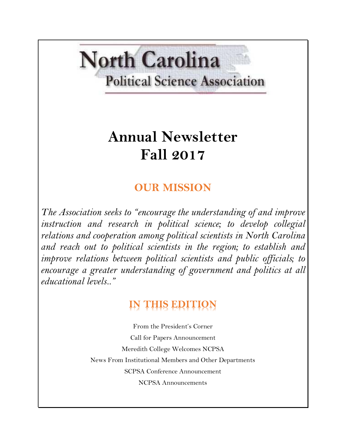# **North Carolina Political Science Association**

# **Annual Newsletter Fall 2017**

## **OUR MISSION**

*The Association seeks to "encourage the understanding of and improve instruction and research in political science; to develop collegial relations and cooperation among political scientists in North Carolina and reach out to political scientists in the region; to establish and improve relations between political scientists and public officials; to encourage a greater understanding of government and politics at all educational levels.."*

# **IN THIS EDITION**

From the President's Corner Call for Papers Announcement Meredith College Welcomes NCPSA News From Institutional Members and Other Departments SCPSA Conference Announcement NCPSA Announcements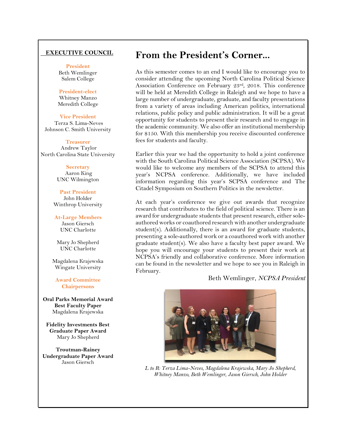#### **EXECUTIVE COUNCIL**

**President**

Beth Wemlinger Salem College

#### **President-elect**

Whitney Manzo Meredith College

#### **Vice President**

Terza S. Lima-Neves Johnson C. Smith University

#### **Treasurer**

Andrew Taylor North Carolina State University

#### **Secretary** Aaron King UNC Wilmington

**Past President** John Holder Winthrop University

**At-Large Members** Jason Giersch UNC Charlotte

Mary Jo Shepherd UNC Charlotte

Magdalena Krajewska Wingate University

**Award Committee Chairpersons**

**Oral Parks Memorial Award Best Faculty Paper** Magdalena Krajewska

**Fidelity Investments Best Graduate Paper Award** Mary Jo Shepherd

**Troutman-Rainey Undergraduate Paper Award** Jason Giersch

## **From the President's Corner...**

As this semester comes to an end I would like to encourage you to consider attending the upcoming North Carolina Political Science Association Conference on February 23rd, 2018. This conference will be held at Meredith College in Raleigh and we hope to have a large number of undergraduate, graduate, and faculty presentations from a variety of areas including American politics, international relations, public policy and public administration. It will be a great opportunity for students to present their research and to engage in the academic community. We also offer an institutional membership for \$150. With this membership you receive discounted conference fees for students and faculty.

Earlier this year we had the opportunity to hold a joint conference with the South Carolina Political Science Association (SCPSA). We would like to welcome any members of the SCPSA to attend this year's NCPSA conference. Additionally, we have included information regarding this year's SCPSA conference and The Citadel Symposium on Southern Politics in the newsletter.

At each year's conference we give out awards that recognize research that contributes to the field of political science. There is an award for undergraduate students that present research, either soleauthored works or coauthored research with another undergraduate student(s). Additionally, there is an award for graduate students, presenting a sole-authored work or a coauthored work with another graduate student(s). We also have a faculty best paper award. We hope you will encourage your students to present their work at NCPSA's friendly and collaborative conference. More information can be found in the newsletter and we hope to see you in Raleigh in February.

#### Beth Wemlinger, *NCPSA President*



*L to R: Terza Lima-Neves, Magdalena Krajewska, Mary Jo Shepherd, Whitney Manzo, Beth Wemlinger, Jason Giersch, John Holder*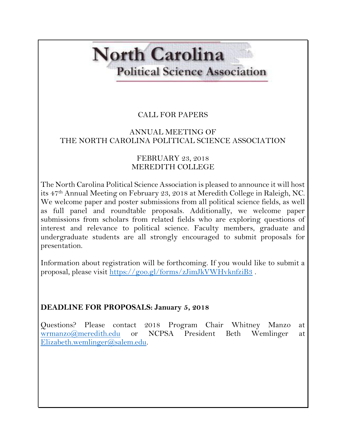# **North Carolina Political Science Association**

## CALL FOR PAPERS

### ANNUAL MEETING OF THE NORTH CAROLINA POLITICAL SCIENCE ASSOCIATION

#### FEBRUARY 23, 2018 MEREDITH COLLEGE

The North Carolina Political Science Association is pleased to announce it will host its 47th Annual Meeting on February 23, 2018 at Meredith College in Raleigh, NC. We welcome paper and poster submissions from all political science fields, as well as full panel and roundtable proposals. Additionally, we welcome paper submissions from scholars from related fields who are exploring questions of interest and relevance to political science. Faculty members, graduate and undergraduate students are all strongly encouraged to submit proposals for presentation.

Information about registration will be forthcoming. If you would like to submit a proposal, please visit<https://goo.gl/forms/zJimJkVWHvknfziB3> .

### **DEADLINE FOR PROPOSALS: January 5, 2018**

Questions? Please contact 2018 Program Chair Whitney Manzo at [wrmanzo@meredith.edu](mailto:wrmanzo@meredith.edu) or NCPSA President Beth Wemlinger at [Elizabeth.wemlinger@salem.edu.](mailto:Elizabeth.wemlinger@salem.edu)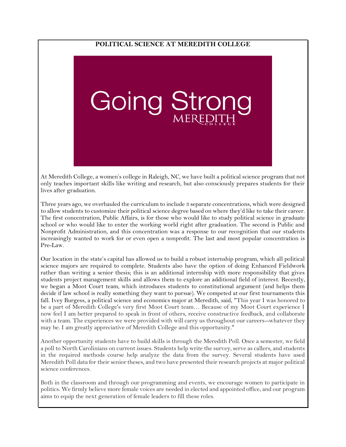#### **POLITICAL SCIENCE AT MEREDITH COLLEGE**



At Meredith College, a women's college in Raleigh, NC, we have built a political science program that not only teaches important skills like writing and research, but also consciously prepares students for their lives after graduation.

Three years ago, we overhauled the curriculum to include 3 separate concentrations, which were designed to allow students to customize their political science degree based on where they'd like to take their career. The first concentration, Public Affairs, is for those who would like to study political science in graduate school or who would like to enter the working world right after graduation. The second is Public and Nonprofit Administration, and this concentration was a response to our recognition that our students increasingly wanted to work for or even open a nonprofit. The last and most popular concentration is Pre-Law.

Our location in the state's capital has allowed us to build a robust internship program, which all political science majors are required to complete. Students also have the option of doing Enhanced Fieldwork rather than writing a senior thesis; this is an additional internship with more responsibility that gives students project management skills and allows them to explore an additional field of interest. Recently, we began a Moot Court team, which introduces students to constitutional argument (and helps them decide if law school is really something they want to pursue). We competed at our first tournaments this fall. Ivey Burgess, a political science and economics major at Meredith, said, "This year I was honored to be a part of Meredith College's very first Moot Court team… Because of my Moot Court experience I now feel I am better prepared to speak in front of others, receive constructive feedback, and collaborate with a team. The experiences we were provided with will carry us throughout our careers--whatever they may be. I am greatly appreciative of Meredith College and this opportunity."

Another opportunity students have to build skills is through the Meredith Poll. Once a semester, we field a poll to North Carolinians on current issues. Students help write the survey, serve as callers, and students in the required methods course help analyze the data from the survey. Several students have used Meredith Poll data for their senior theses, and two have presented their research projects at major political science conferences.

Both in the classroom and through our programming and events, we encourage women to participate in politics. We firmly believe more female voices are needed in elected and appointed office, and our program aims to equip the next generation of female leaders to fill these roles.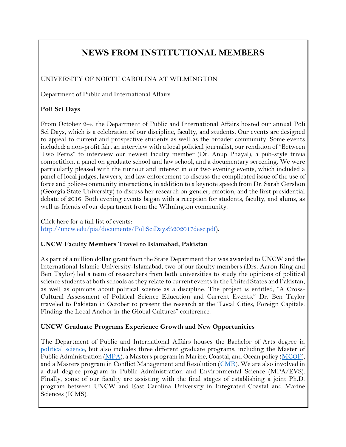## **NEWS FROM INSTITUTIONAL MEMBERS**

### UNIVERSITY OF NORTH CAROLINA AT WILMINGTON

Department of Public and International Affairs

#### **Poli Sci Days**

From October 2-4, the Department of Public and International Affairs hosted our annual Poli Sci Days, which is a celebration of our discipline, faculty, and students. Our events are designed to appeal to current and prospective students as well as the broader community. Some events included: a non-profit fair, an interview with a local political journalist, our rendition of "Between Two Ferns" to interview our newest faculty member (Dr. Anup Phayal), a pub-style trivia competition, a panel on graduate school and law school, and a documentary screening. We were particularly pleased with the turnout and interest in our two evening events, which included a panel of local judges, lawyers, and law enforcement to discuss the complicated issue of the use of force and police-community interactions, in addition to a keynote speech from Dr. Sarah Gershon (Georgia State University) to discuss her research on gender, emotion, and the first presidential debate of 2016. Both evening events began with a reception for students, faculty, and alums, as well as friends of our department from the Wilmington community.

Click here for a full list of events: [http://uncw.edu/pia/documents/PoliSciDays%202017desc.pdf\)](http://uncw.edu/pia/documents/PoliSciDays%202017desc.pdf).

#### **UNCW Faculty Members Travel to Islamabad, Pakistan**

As part of a million dollar grant from the State Department that was awarded to UNCW and the International Islamic University-Islamabad, two of our faculty members (Drs. Aaron King and Ben Taylor) led a team of researchers from both universities to study the opinions of political science students at both schools as they relate to current events in the United States and Pakistan, as well as opinions about political science as a discipline. The project is entitled, "A Cross-Cultural Assessment of Political Science Education and Current Events." Dr. Ben Taylor traveled to Pakistan in October to present the research at the "Local Cities, Foreign Capitals: Finding the Local Anchor in the Global Cultures" conference.

#### **UNCW Graduate Programs Experience Growth and New Opportunities**

The Department of Public and International Affairs houses the Bachelor of Arts degree in [political science,](http://uncw.edu/pia/undergraduate/index.html) but also includes three different graduate programs, including the Master of Public Administration [\(MPA\)](http://uncw.edu/mpa/), a Masters program in Marine, Coastal, and Ocean policy [\(MCOP\)](http://uncw.edu/mcop/), and a Masters program in Conflict Management and Resolution [\(CMR\)](http://uncw.edu/cmr/). We are also involved in a dual degree program in Public Administration and Environmental Science (MPA/EVS). Finally, some of our faculty are assisting with the final stages of establishing a joint Ph.D. program between UNCW and East Carolina University in Integrated Coastal and Marine Sciences (ICMS).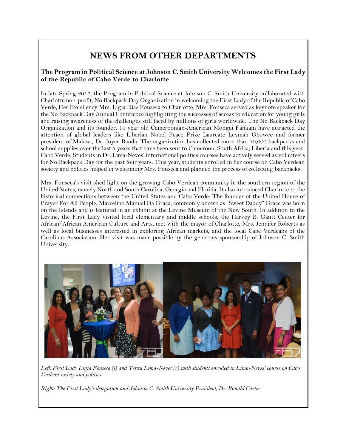## **NEWS FROM OTHER DEPARTMENTS**

#### **The Program in Political Science at Johnson C. Smith University Welcomes the First Lady of the Republic of Cabo Verde to Charlotte**

In late Spring 2017, the Program in Political Science at Johnson C. Smith University collaborated with Charlotte non-profit, No Backpack Day Organization in welcoming the First Lady of the Republic of Cabo Verde, Her Excellency Mrs. Ligia Dias Fonseca to Charlotte. Mrs. Fonseca served as keynote speaker for the No Backpack Day Annual Conference highlighting the successes of access to education for young girls and raising awareness of the challenges still faced by millions of girls worldwide. The No Backpack Day Organization and its founder, 14 year old Cameroonian-American Mongai Fankam have attracted the attention of global leaders like Liberian Nobel Peace Prize Laureate Leymah Gbowee and former president of Malawi, Dr. Joyce Banda. The organization has collected more than 10,000 backpacks and school supplies over the last 5 years that have been sent to Cameroon, South Africa, Liberia and this year, Cabo Verde. Students in Dr. Lima-Neves' international politics courses have actively served as volunteers for No Backpack Day for the past four years. This year, students enrolled in her course on Cabo Verdean society and politics helped in welcoming Mrs. Fonseca and planned the process of collecting backpacks.

Mrs. Fonseca's visit shed light on the growing Cabo Verdean community in the southern region of the United States, namely North and South Carolina, Georgia and Florida. It also introduced Charlotte to the historical connections between the United States and Cabo Verde. The founder of the United House of Prayer For All People, Marcelino Manuel Da Graca, commonly known as "Sweet Daddy" Grace was born on the Islands and is featured in an exhibit at the Levine Museum of the New South. In addition to the Levine, the First Lady visited local elementary and middle schools, the Harvey B. Gantt Center for African/African American Culture and Arts, met with the mayor of Charlotte, Mrs. Jennifer Roberts as well as local businesses interested in exploring African markets, and the local Cape Verdeans of the Carolinas Association. Her visit was made possible by the generous sponsorship of Johnson C. Smith University.



*Left: First Lady Ligia Fonseca (l) and Terza Lima-Neves (r) with students enrolled in Lima-Neves' course on Cabo Verdean society and politics*

*Right: The First Lady's delegation and Johnson C. Smith University President, Dr. Ronald Carter*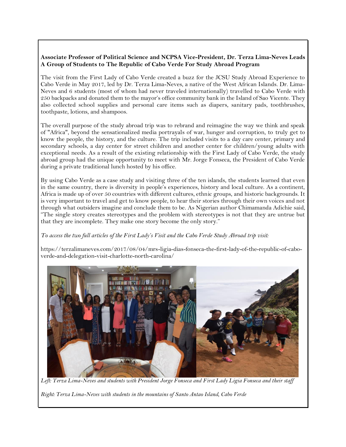#### **Associate Professor of Political Science and NCPSA Vice-President, Dr. Terza Lima-Neves Leads A Group of Students to The Republic of Cabo Verde For Study Abroad Program**

The visit from the First Lady of Cabo Verde created a buzz for the JCSU Study Abroad Experience to Cabo Verde in May 2017, led by Dr. Terza Lima-Neves, a native of the West African Islands. Dr. Lima-Neves and 6 students (most of whom had never traveled internationally) travelled to Cabo Verde with 250 backpacks and donated them to the mayor's office community bank in the Island of Sao Vicente. They also collected school supplies and personal care items such as diapers, sanitary pads, toothbrushes, toothpaste, lotions, and shampoos.

The overall purpose of the study abroad trip was to rebrand and reimagine the way we think and speak of "Africa", beyond the sensationalized media portrayals of war, hunger and corruption, to truly get to know the people, the history, and the culture. The trip included visits to a day care center, primary and secondary schools, a day center for street children and another center for children/young adults with exceptional needs. As a result of the existing relationship with the First Lady of Cabo Verde, the study abroad group had the unique opportunity to meet with Mr. Jorge Fonseca, the President of Cabo Verde during a private traditional lunch hosted by his office.

By using Cabo Verde as a case study and visiting three of the ten islands, the students learned that even in the same country, there is diversity in people's experiences, history and local culture. As a continent, Africa is made up of over 50 countries with different cultures, ethnic groups, and historic backgrounds. It is very important to travel and get to know people, to hear their stories through their own voices and not through what outsiders imagine and conclude them to be. As Nigerian author Chimamanda Adichie said, "The single story creates stereotypes and the problem with stereotypes is not that they are untrue but that they are incomplete. They make one story become the only story."

*To access the two full articles of the First Lady's Visit and the Cabo Verde Study Abroad trip visit:* 

https://terzalimaneves.com/2017/08/04/mrs-ligia-dias-fonseca-the-first-lady-of-the-republic-of-caboverde-and-delegation-visit-charlotte-north-carolina/



*Left: Terza Lima-Neves and students with President Jorge Fonseca and First Lady Ligia Fonseca and their staff*

*Right: Terza Lima-Neves with students in the mountains of Santo Antao Island, Cabo Verde*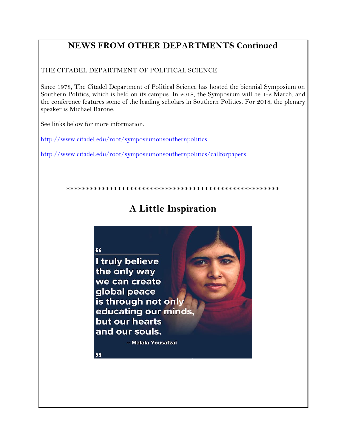## **NEWS FROM OTHER DEPARTMENTS Continued**

THE CITADEL DEPARTMENT OF POLITICAL SCIENCE

Since 1978, The Citadel Department of Political Science has hosted the biennial Symposium on Southern Politics, which is held on its campus. In 2018, the Symposium will be 1-2 March, and the conference features some of the leading scholars in Southern Politics. For 2018, the plenary speaker is Michael Barone.

See links below for more information:

<http://www.citadel.edu/root/symposiumonsouthernpolitics>

<http://www.citadel.edu/root/symposiumonsouthernpolitics/callforpapers>

\*\*\*\*\*\*\*\*\*\*\*\*\*\*\*\*\*\*\*\*\*\*\*\*\*\*\*\*\*\*\*\*\*\*\*\*\*\*\*\*\*\*\*\*\*\*\*\*\*\*\*\*\*\*

## **A Little Inspiration**

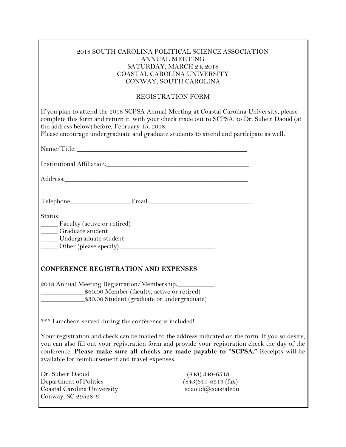| 2018 SOUTH CAROLINA POLITICAL SCIENCE ASSOCIATION |
|---------------------------------------------------|
| ANNUAL MEETING                                    |
| SATURDAY, MARCH 24, 2018                          |
| COASTAL CAROLINA UNIVERSITY                       |
| CONWAY, SOUTH CAROLINA                            |

#### REGISTRATION FORM

| If you plan to attend the 2018 SCPSA Annual Meeting at Coastal Carolina University, please<br>complete this form and return it, with your check made out to SCPSA, to Dr. Suheir Daoud (at<br>the address below) before, February 15, 2018.<br>Please encourage undergraduate and graduate students to attend and participate as well.            |
|---------------------------------------------------------------------------------------------------------------------------------------------------------------------------------------------------------------------------------------------------------------------------------------------------------------------------------------------------|
|                                                                                                                                                                                                                                                                                                                                                   |
|                                                                                                                                                                                                                                                                                                                                                   |
|                                                                                                                                                                                                                                                                                                                                                   |
|                                                                                                                                                                                                                                                                                                                                                   |
|                                                                                                                                                                                                                                                                                                                                                   |
| Status:<br>Faculty (active or retired)<br>____ Graduate student<br>Undergraduate student                                                                                                                                                                                                                                                          |
| <b>CONFERENCE REGISTRATION AND EXPENSES</b>                                                                                                                                                                                                                                                                                                       |
| 2018 Annual Meeting Registration/Membership:<br>\$30.00 Student (graduate or undergraduate)                                                                                                                                                                                                                                                       |
| *** Luncheon served during the conference is included!                                                                                                                                                                                                                                                                                            |
| Your registration and check can be mailed to the address indicated on the form. If you so desire,<br>you can also fill out your registration form and provide your registration check the day of the<br>conference. Please make sure all checks are made payable to "SCPSA." Receipts will be<br>available for reimbursement and travel expenses. |
| Dr. Suheir Daoud<br>$(843)$ 349-6513<br>Department of Politics<br>$(843)349 - 6513$ (fax)<br>sdaoud@coastaledu<br>Coastal Carolina University<br>Conway, SC 29528-6                                                                                                                                                                               |